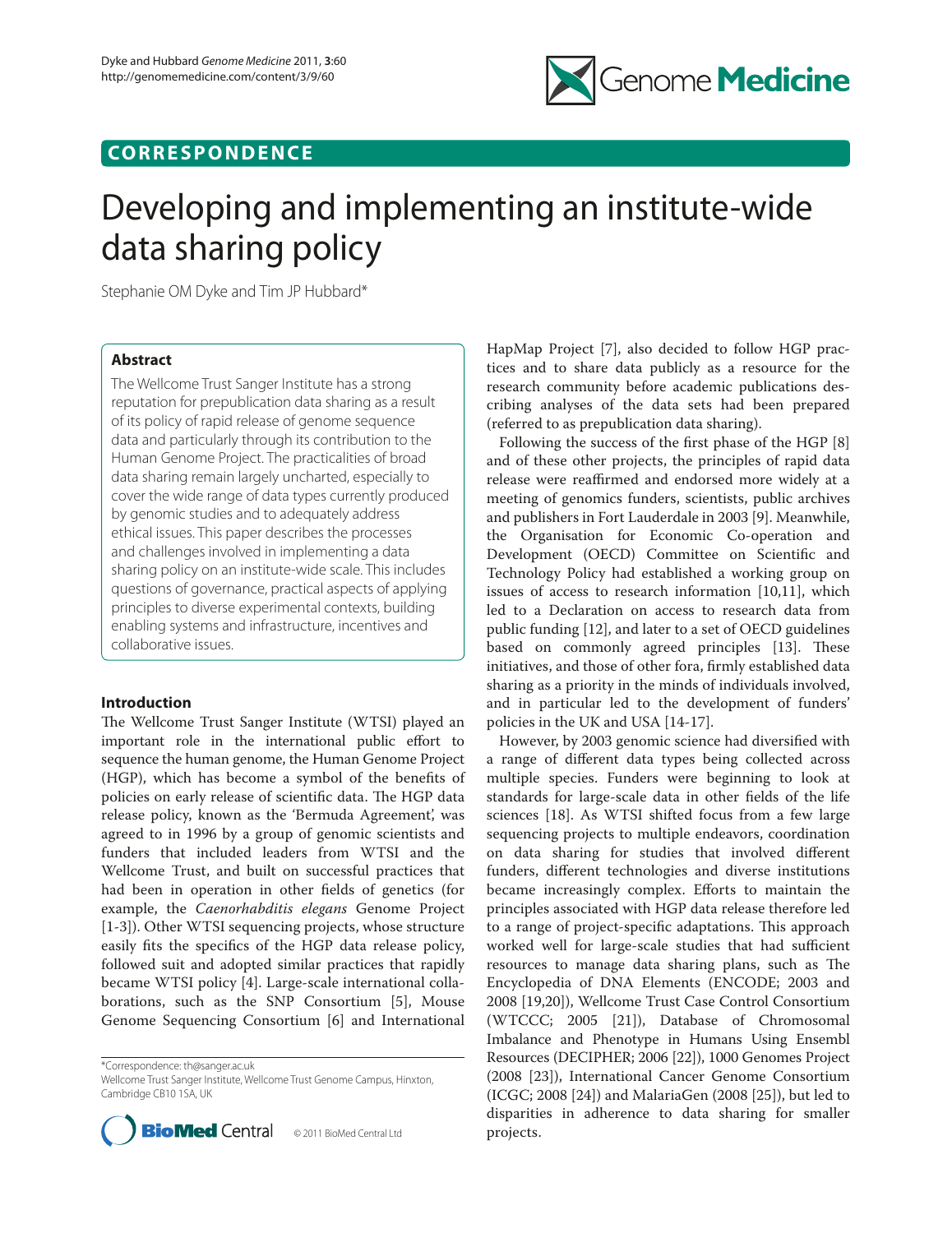

## **CORRESPONDENCE**

# Developing and implementing an institute-wide data sharing policy

Stephanie OM Dyke and Tim JP Hubbard\*

## **Abstract**

The Wellcome Trust Sanger Institute has a strong reputation for prepublication data sharing as a result of its policy of rapid release of genome sequence data and particularly through its contribution to the Human Genome Project. The practicalities of broad data sharing remain largely uncharted, especially to cover the wide range of data types currently produced by genomic studies and to adequately address ethical issues. This paper describes the processes and challenges involved in implementing a data sharing policy on an institute-wide scale. This includes questions of governance, practical aspects of applying principles to diverse experimental contexts, building enabling systems and infrastructure, incentives and collaborative issues.

## **Introduction**

The Wellcome Trust Sanger Institute (WTSI) played an important role in the international public effort to sequence the human genome, the Human Genome Project (HGP), which has become a symbol of the benefits of policies on early release of scientific data. The HGP data release policy, known as the 'Bermuda Agreement', was agreed to in 1996 by a group of genomic scientists and funders that included leaders from WTSI and the Wellcome Trust, and built on successful practices that had been in operation in other fields of genetics (for example, the *Caenorhabditis elegans* Genome Project [1-3]). Other WTSI sequencing projects, whose structure easily fits the specifics of the HGP data release policy, followed suit and adopted similar practices that rapidly became WTSI policy [4]. Large-scale international collaborations, such as the SNP Consortium [5], Mouse Genome Sequencing Consortium [6] and International

\*Correspondence: th@sanger.ac.uk

Wellcome Trust Sanger Institute, Wellcome Trust Genome Campus, Hinxton, Cambridge CB10 1SA, UK



HapMap Project [7], also decided to follow HGP practices and to share data publicly as a resource for the research community before academic publications describing analyses of the data sets had been prepared (referred to as prepublication data sharing).

Following the success of the first phase of the HGP [8] and of these other projects, the principles of rapid data release were reaffirmed and endorsed more widely at a meeting of genomics funders, scientists, public archives and publishers in Fort Lauderdale in 2003 [9]. Meanwhile, the Organisation for Economic Co-operation and Development (OECD) Committee on Scientific and Technology Policy had established a working group on issues of access to research information [10,11], which led to a Declaration on access to research data from public funding [12], and later to a set of OECD guidelines based on commonly agreed principles [13]. These initiatives, and those of other fora, firmly established data sharing as a priority in the minds of individuals involved, and in particular led to the development of funders' policies in the UK and USA [14-17].

However, by 2003 genomic science had diversified with a range of different data types being collected across multiple species. Funders were beginning to look at standards for large-scale data in other fields of the life sciences [18]. As WTSI shifted focus from a few large sequencing projects to multiple endeavors, coordination on data sharing for studies that involved different funders, different technologies and diverse institutions became increasingly complex. Efforts to maintain the principles associated with HGP data release therefore led to a range of project-specific adaptations. This approach worked well for large-scale studies that had sufficient resources to manage data sharing plans, such as The Encyclopedia of DNA Elements (ENCODE; 2003 and 2008 [19,20]), Wellcome Trust Case Control Consortium (WTCCC; 2005 [21]), Database of Chromosomal Imbalance and Phenotype in Humans Using Ensembl Resources (DECIPHER; 2006 [22]), 1000 Genomes Project (2008 [23]), International Cancer Genome Consortium (ICGC; 2008 [24]) and MalariaGen (2008 [25]), but led to disparities in adherence to data sharing for smaller projects.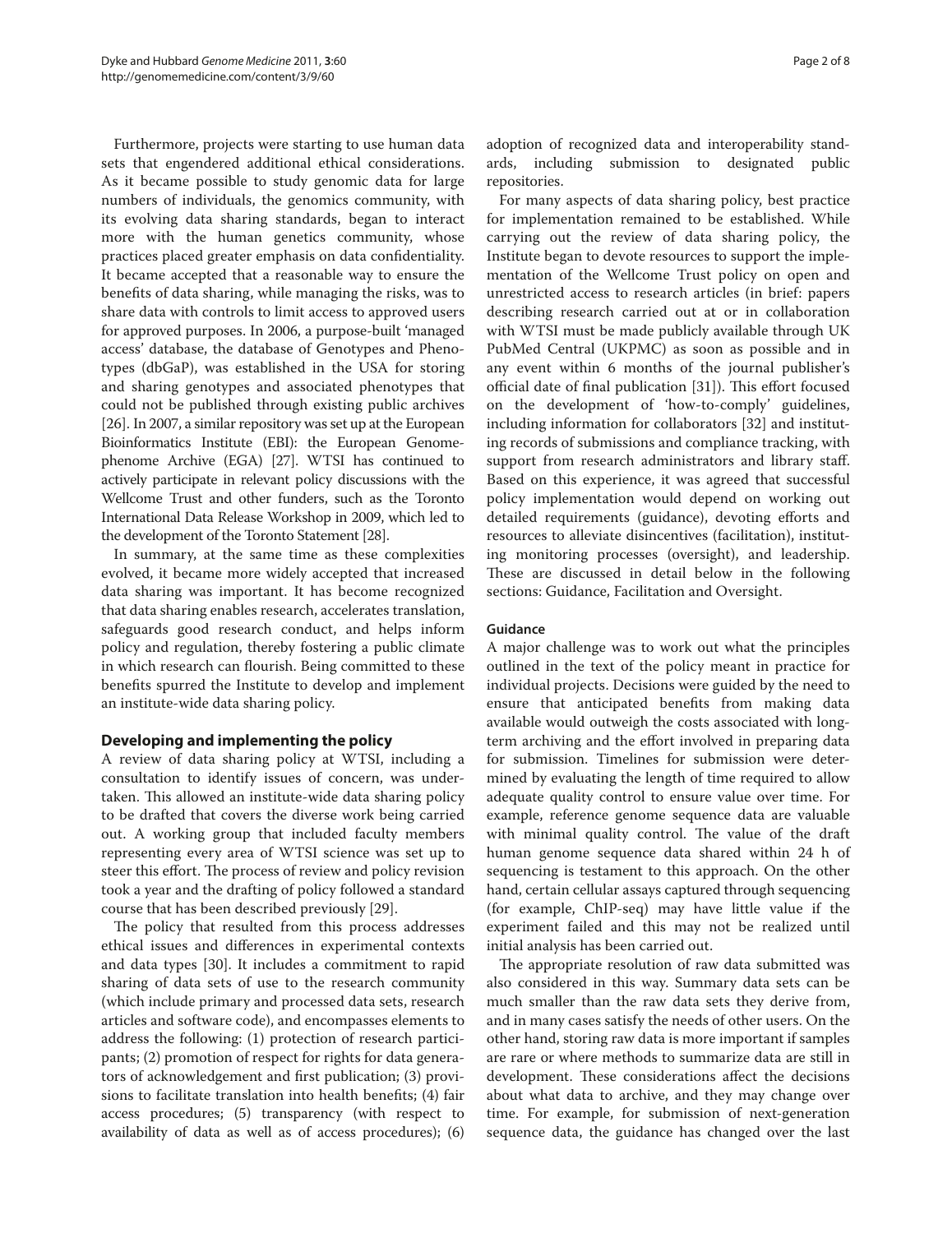Furthermore, projects were starting to use human data sets that engendered additional ethical considerations. As it became possible to study genomic data for large numbers of individuals, the genomics community, with its evolving data sharing standards, began to interact more with the human genetics community, whose practices placed greater emphasis on data confidentiality. It became accepted that a reasonable way to ensure the benefits of data sharing, while managing the risks, was to share data with controls to limit access to approved users for approved purposes. In 2006, a purpose-built 'managed access' database, the database of Genotypes and Phenotypes (dbGaP), was established in the USA for storing and sharing genotypes and associated phenotypes that could not be published through existing public archives [26]. In 2007, a similar repository was set up at the European Bioinformatics Institute (EBI): the European Genomephenome Archive (EGA) [27]. WTSI has continued to actively participate in relevant policy discussions with the Wellcome Trust and other funders, such as the Toronto International Data Release Workshop in 2009, which led to the development of the Toronto Statement [28].

In summary, at the same time as these complexities evolved, it became more widely accepted that increased data sharing was important. It has become recognized that data sharing enables research, accelerates translation, safeguards good research conduct, and helps inform policy and regulation, thereby fostering a public climate in which research can flourish. Being committed to these benefits spurred the Institute to develop and implement an institute-wide data sharing policy.

## **Developing and implementing the policy**

A review of data sharing policy at WTSI, including a consultation to identify issues of concern, was undertaken. This allowed an institute-wide data sharing policy to be drafted that covers the diverse work being carried out. A working group that included faculty members representing every area of WTSI science was set up to steer this effort. The process of review and policy revision took a year and the drafting of policy followed a standard course that has been described previously [29].

The policy that resulted from this process addresses ethical issues and differences in experimental contexts and data types [30]. It includes a commitment to rapid sharing of data sets of use to the research community (which include primary and processed data sets, research articles and software code), and encompasses elements to address the following: (1) protection of research participants; (2) promotion of respect for rights for data generators of acknowledgement and first publication; (3) provisions to facilitate translation into health benefits; (4) fair access procedures; (5) transparency (with respect to availability of data as well as of access procedures); (6) adoption of recognized data and interoperability standards, including submission to designated public repositories.

For many aspects of data sharing policy, best practice for implementation remained to be established. While carrying out the review of data sharing policy, the Institute began to devote resources to support the implementation of the Wellcome Trust policy on open and unrestricted access to research articles (in brief: papers describing research carried out at or in collaboration with WTSI must be made publicly available through UK PubMed Central (UKPMC) as soon as possible and in any event within 6 months of the journal publisher's official date of final publication [31]). This effort focused on the development of 'how-to-comply' guidelines, including information for collaborators [32] and instituting records of submissions and compliance tracking, with support from research administrators and library staff. Based on this experience, it was agreed that successful policy implementation would depend on working out detailed requirements (guidance), devoting efforts and resources to alleviate disincentives (facilitation), instituting monitoring processes (oversight), and leadership. These are discussed in detail below in the following sections: Guidance, Facilitation and Oversight.

## **Guidance**

A major challenge was to work out what the principles outlined in the text of the policy meant in practice for individual projects. Decisions were guided by the need to ensure that anticipated benefits from making data available would outweigh the costs associated with longterm archiving and the effort involved in preparing data for submission. Timelines for submission were determined by evaluating the length of time required to allow adequate quality control to ensure value over time. For example, reference genome sequence data are valuable with minimal quality control. The value of the draft human genome sequence data shared within 24 h of sequencing is testament to this approach. On the other hand, certain cellular assays captured through sequencing (for example, ChIP-seq) may have little value if the experiment failed and this may not be realized until initial analysis has been carried out.

The appropriate resolution of raw data submitted was also considered in this way. Summary data sets can be much smaller than the raw data sets they derive from, and in many cases satisfy the needs of other users. On the other hand, storing raw data is more important if samples are rare or where methods to summarize data are still in development. These considerations affect the decisions about what data to archive, and they may change over time. For example, for submission of next-generation sequence data, the guidance has changed over the last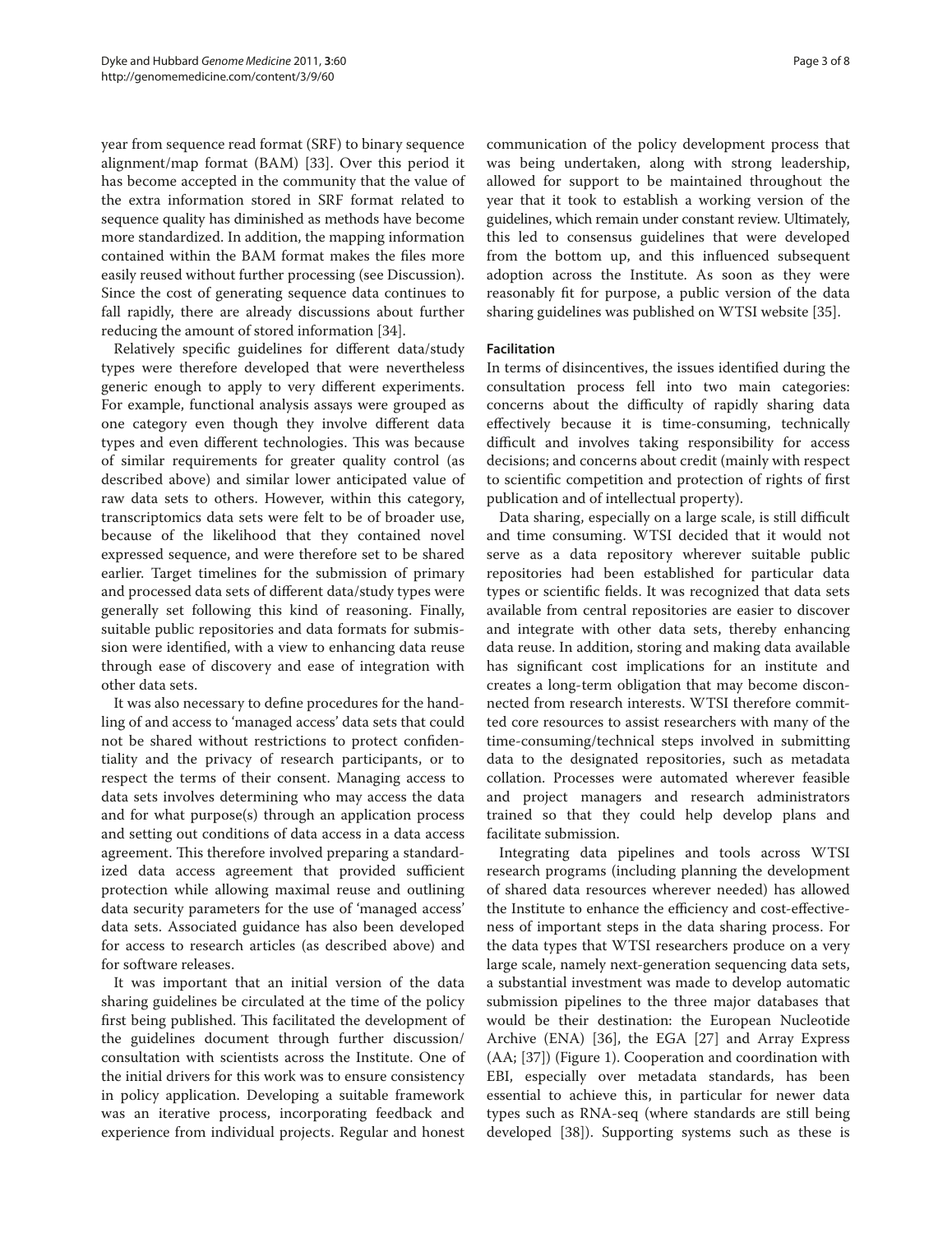year from sequence read format (SRF) to binary sequence alignment/map format (BAM) [33]. Over this period it has become accepted in the community that the value of the extra information stored in SRF format related to sequence quality has diminished as methods have become more standardized. In addition, the mapping information contained within the BAM format makes the files more easily reused without further processing (see Discussion). Since the cost of generating sequence data continues to fall rapidly, there are already discussions about further reducing the amount of stored information [34].

Relatively specific guidelines for different data/study types were therefore developed that were nevertheless generic enough to apply to very different experiments. For example, functional analysis assays were grouped as one category even though they involve different data types and even different technologies. This was because of similar requirements for greater quality control (as described above) and similar lower anticipated value of raw data sets to others. However, within this category, transcriptomics data sets were felt to be of broader use, because of the likelihood that they contained novel expressed sequence, and were therefore set to be shared earlier. Target timelines for the submission of primary and processed data sets of different data/study types were generally set following this kind of reasoning. Finally, suitable public repositories and data formats for submission were identified, with a view to enhancing data reuse through ease of discovery and ease of integration with other data sets.

It was also necessary to define procedures for the handling of and access to 'managed access' data sets that could not be shared without restrictions to protect confidentiality and the privacy of research participants, or to respect the terms of their consent. Managing access to data sets involves determining who may access the data and for what purpose(s) through an application process and setting out conditions of data access in a data access agreement. This therefore involved preparing a standardized data access agreement that provided sufficient protection while allowing maximal reuse and outlining data security parameters for the use of 'managed access' data sets. Associated guidance has also been developed for access to research articles (as described above) and for software releases.

It was important that an initial version of the data sharing guidelines be circulated at the time of the policy first being published. This facilitated the development of the guidelines document through further discussion/ consultation with scientists across the Institute. One of the initial drivers for this work was to ensure consistency in policy application. Developing a suitable framework was an iterative process, incorporating feedback and experience from individual projects. Regular and honest communication of the policy development process that was being undertaken, along with strong leadership, allowed for support to be maintained throughout the year that it took to establish a working version of the guidelines, which remain under constant review. Ultimately, this led to consensus guidelines that were developed from the bottom up, and this influenced subsequent adoption across the Institute. As soon as they were reasonably fit for purpose, a public version of the data sharing guidelines was published on WTSI website [35].

## **Facilitation**

In terms of disincentives, the issues identified during the consultation process fell into two main categories: concerns about the difficulty of rapidly sharing data effectively because it is time-consuming, technically difficult and involves taking responsibility for access decisions; and concerns about credit (mainly with respect to scientific competition and protection of rights of first publication and of intellectual property).

Data sharing, especially on a large scale, is still difficult and time consuming. WTSI decided that it would not serve as a data repository wherever suitable public repositories had been established for particular data types or scientific fields. It was recognized that data sets available from central repositories are easier to discover and integrate with other data sets, thereby enhancing data reuse. In addition, storing and making data available has significant cost implications for an institute and creates a long-term obligation that may become disconnected from research interests. WTSI therefore committed core resources to assist researchers with many of the time-consuming/technical steps involved in submitting data to the designated repositories, such as metadata collation. Processes were automated wherever feasible and project managers and research administrators trained so that they could help develop plans and facilitate submission.

Integrating data pipelines and tools across WTSI research programs (including planning the development of shared data resources wherever needed) has allowed the Institute to enhance the efficiency and cost-effectiveness of important steps in the data sharing process. For the data types that WTSI researchers produce on a very large scale, namely next-generation sequencing data sets, a substantial investment was made to develop automatic submission pipelines to the three major databases that would be their destination: the European Nucleotide Archive (ENA) [36], the EGA [27] and Array Express (AA; [37]) (Figure 1). Cooperation and coordination with EBI, especially over metadata standards, has been essential to achieve this, in particular for newer data types such as RNA-seq (where standards are still being developed [38]). Supporting systems such as these is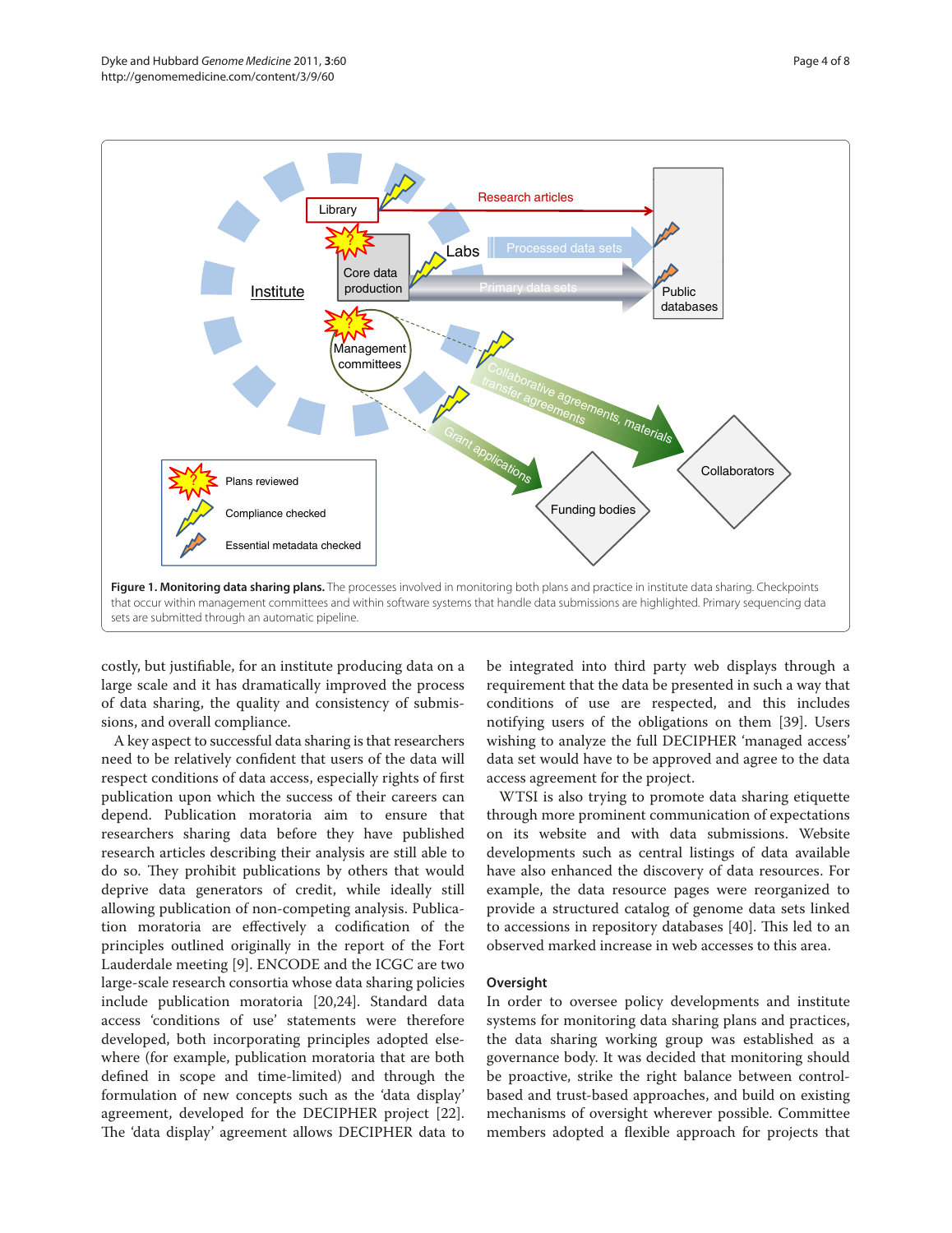

costly, but justifiable, for an institute producing data on a large scale and it has dramatically improved the process of data sharing, the quality and consistency of submis‑ sions, and overall compliance.

A key aspect to successful data sharing is that researchers need to be relatively confident that users of the data will respect conditions of data access, especially rights of first publication upon which the success of their careers can depend. Publication moratoria aim to ensure that researchers sharing data before they have published research articles describing their analysis are still able to do so. They prohibit publications by others that would deprive data generators of credit, while ideally still allowing publication of non-competing analysis. Publication moratoria are effectively a codification of the principles outlined originally in the report of the Fort Lauderdale meeting [9]. ENCODE and the ICGC are two large-scale research consortia whose data sharing policies include publication moratoria [20,24]. Standard data access 'conditions of use' statements were therefore developed, both incorporating principles adopted elsewhere (for example, publication moratoria that are both defined in scope and time-limited) and through the formulation of new concepts such as the 'data display' agreement, developed for the DECIPHER project [22]. The 'data display' agreement allows DECIPHER data to be integrated into third party web displays through a requirement that the data be presented in such a way that conditions of use are respected, and this includes notifying users of the obligations on them [39]. Users wishing to analyze the full DECIPHER 'managed access' data set would have to be approved and agree to the data access agreement for the project.

WTSI is also trying to promote data sharing etiquette through more prominent communication of expectations on its website and with data submissions. Website developments such as central listings of data available have also enhanced the discovery of data resources. For example, the data resource pages were reorganized to provide a structured catalog of genome data sets linked to accessions in repository databases [40]. This led to an observed marked increase in web accesses to this area.

## **Oversight**

In order to oversee policy developments and institute systems for monitoring data sharing plans and practices, the data sharing working group was established as a governance body. It was decided that monitoring should be proactive, strike the right balance between controlbased and trust-based approaches, and build on existing mechanisms of oversight wherever possible. Committee members adopted a flexible approach for projects that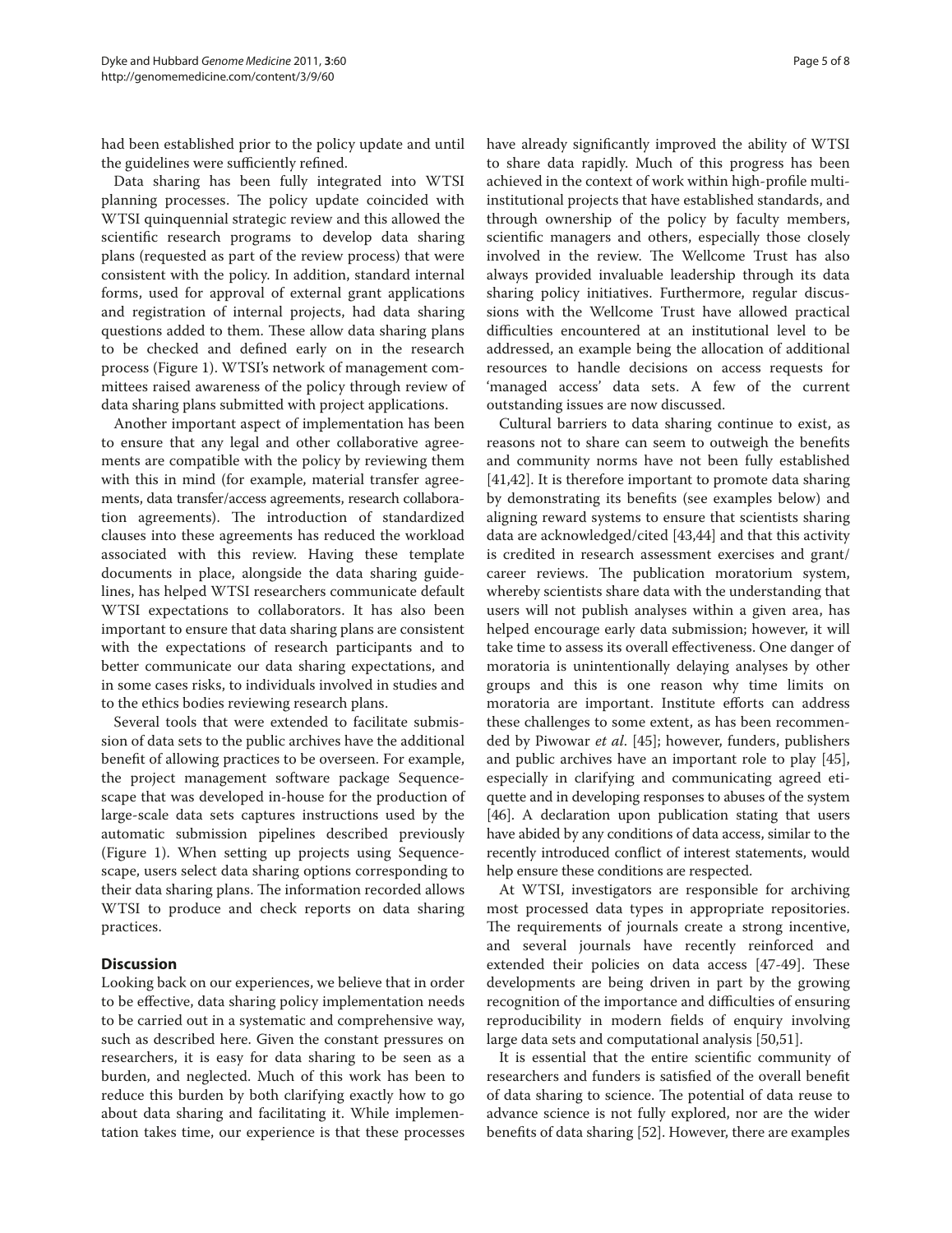had been established prior to the policy update and until the guidelines were sufficiently refined.

Data sharing has been fully integrated into WTSI planning processes. The policy update coincided with WTSI quinquennial strategic review and this allowed the scientific research programs to develop data sharing plans (requested as part of the review process) that were consistent with the policy. In addition, standard internal forms, used for approval of external grant applications and registration of internal projects, had data sharing questions added to them. These allow data sharing plans to be checked and defined early on in the research process (Figure 1). WTSI's network of management committees raised awareness of the policy through review of data sharing plans submitted with project applications.

Another important aspect of implementation has been to ensure that any legal and other collaborative agreements are compatible with the policy by reviewing them with this in mind (for example, material transfer agreements, data transfer/access agreements, research collaboration agreements). The introduction of standardized clauses into these agreements has reduced the workload associated with this review. Having these template documents in place, alongside the data sharing guidelines, has helped WTSI researchers communicate default WTSI expectations to collaborators. It has also been important to ensure that data sharing plans are consistent with the expectations of research participants and to better communicate our data sharing expectations, and in some cases risks, to individuals involved in studies and to the ethics bodies reviewing research plans.

Several tools that were extended to facilitate submission of data sets to the public archives have the additional benefit of allowing practices to be overseen. For example, the project management software package Sequencescape that was developed in-house for the production of large-scale data sets captures instructions used by the automatic submission pipelines described previously (Figure 1). When setting up projects using Sequence‑ scape, users select data sharing options corresponding to their data sharing plans. The information recorded allows WTSI to produce and check reports on data sharing practices.

## **Discussion**

Looking back on our experiences, we believe that in order to be effective, data sharing policy implementation needs to be carried out in a systematic and comprehensive way, such as described here. Given the constant pressures on researchers, it is easy for data sharing to be seen as a burden, and neglected. Much of this work has been to reduce this burden by both clarifying exactly how to go about data sharing and facilitating it. While implementation takes time, our experience is that these processes have already significantly improved the ability of WTSI to share data rapidly. Much of this progress has been achieved in the context of work within high-profile multiinstitutional projects that have established standards, and through ownership of the policy by faculty members, scientific managers and others, especially those closely involved in the review. The Wellcome Trust has also always provided invaluable leadership through its data sharing policy initiatives. Furthermore, regular discussions with the Wellcome Trust have allowed practical difficulties encountered at an institutional level to be addressed, an example being the allocation of additional resources to handle decisions on access requests for 'managed access' data sets. A few of the current outstanding issues are now discussed.

Cultural barriers to data sharing continue to exist, as reasons not to share can seem to outweigh the benefits and community norms have not been fully established [41,42]. It is therefore important to promote data sharing by demonstrating its benefits (see examples below) and aligning reward systems to ensure that scientists sharing data are acknowledged/cited [43,44] and that this activity is credited in research assessment exercises and grant/ career reviews. The publication moratorium system, whereby scientists share data with the understanding that users will not publish analyses within a given area, has helped encourage early data submission; however, it will take time to assess its overall effectiveness. One danger of moratoria is unintentionally delaying analyses by other groups and this is one reason why time limits on moratoria are important. Institute efforts can address these challenges to some extent, as has been recommended by Piwowar *et al*. [45]; however, funders, publishers and public archives have an important role to play [45], especially in clarifying and communicating agreed etiquette and in developing responses to abuses of the system [46]. A declaration upon publication stating that users have abided by any conditions of data access, similar to the recently introduced conflict of interest statements, would help ensure these conditions are respected.

At WTSI, investigators are responsible for archiving most processed data types in appropriate repositories. The requirements of journals create a strong incentive, and several journals have recently reinforced and extended their policies on data access [47-49]. These developments are being driven in part by the growing recognition of the importance and difficulties of ensuring reproducibility in modern fields of enquiry involving large data sets and computational analysis [50,51].

It is essential that the entire scientific community of researchers and funders is satisfied of the overall benefit of data sharing to science. The potential of data reuse to advance science is not fully explored, nor are the wider benefits of data sharing [52]. However, there are examples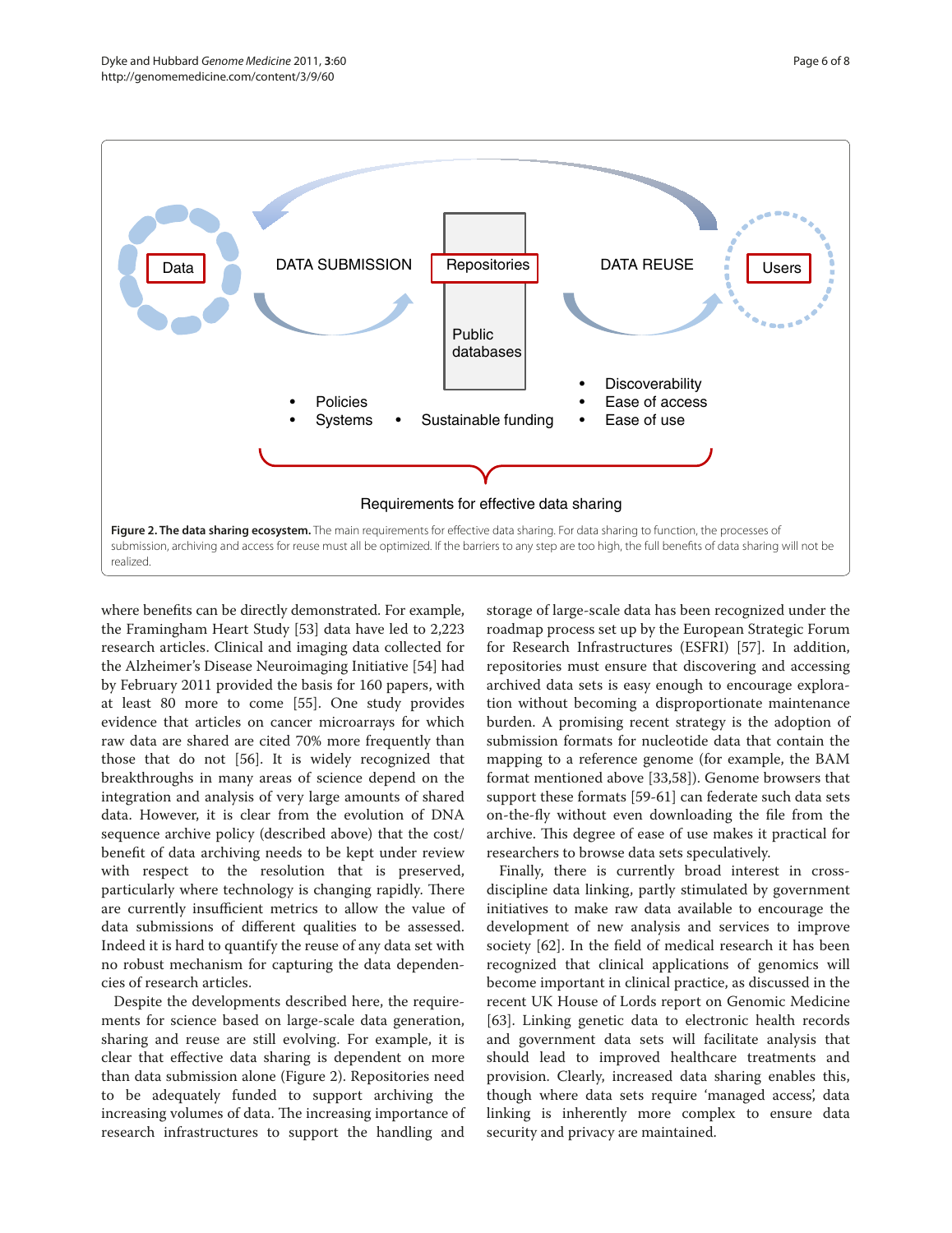

where benefits can be directly demonstrated. For example, the Framingham Heart Study [53] data have led to 2,223 research articles. Clinical and imaging data collected for the Alzheimer's Disease Neuroimaging Initiative [54] had by February 2011 provided the basis for 160 papers, with at least 80 more to come [55]. One study provides evidence that articles on cancer microarrays for which raw data are shared are cited 70% more frequently than those that do not [56]. It is widely recognized that breakthroughs in many areas of science depend on the integration and analysis of very large amounts of shared data. However, it is clear from the evolution of DNA sequence archive policy (described above) that the cost/ benefit of data archiving needs to be kept under review with respect to the resolution that is preserved, particularly where technology is changing rapidly. There are currently insufficient metrics to allow the value of data submissions of different qualities to be assessed. Indeed it is hard to quantify the reuse of any data set with no robust mechanism for capturing the data dependencies of research articles.

Despite the developments described here, the requirements for science based on large-scale data generation, sharing and reuse are still evolving. For example, it is clear that effective data sharing is dependent on more than data submission alone (Figure 2). Repositories need to be adequately funded to support archiving the increasing volumes of data. The increasing importance of research infrastructures to support the handling and storage of large-scale data has been recognized under the roadmap process set up by the European Strategic Forum for Research Infrastructures (ESFRI) [57]. In addition, repositories must ensure that discovering and accessing archived data sets is easy enough to encourage exploration without becoming a disproportionate maintenance burden. A promising recent strategy is the adoption of submission formats for nucleotide data that contain the mapping to a reference genome (for example, the BAM format mentioned above [33,58]). Genome browsers that support these formats [59-61] can federate such data sets on-the-fly without even downloading the file from the archive. This degree of ease of use makes it practical for researchers to browse data sets speculatively.

Finally, there is currently broad interest in crossdiscipline data linking, partly stimulated by government initiatives to make raw data available to encourage the development of new analysis and services to improve society [62]. In the field of medical research it has been recognized that clinical applications of genomics will become important in clinical practice, as discussed in the recent UK House of Lords report on Genomic Medicine [63]. Linking genetic data to electronic health records and government data sets will facilitate analysis that should lead to improved healthcare treatments and provision. Clearly, increased data sharing enables this, though where data sets require 'managed access', data linking is inherently more complex to ensure data security and privacy are maintained.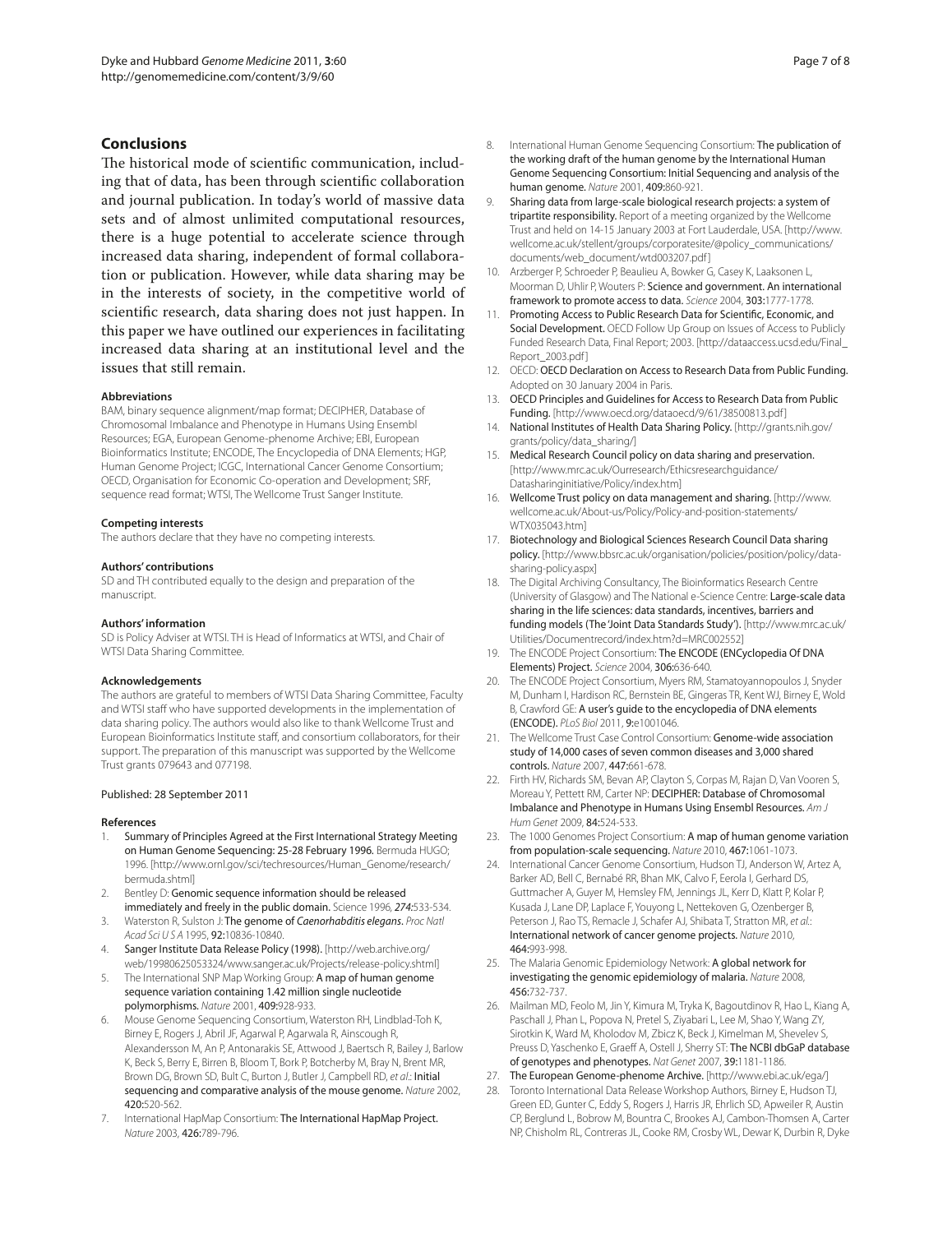## **Conclusions**

The historical mode of scientific communication, including that of data, has been through scientific collaboration and journal publication. In today's world of massive data sets and of almost unlimited computational resources, there is a huge potential to accelerate science through increased data sharing, independent of formal collaboration or publication. However, while data sharing may be in the interests of society, in the competitive world of scientific research, data sharing does not just happen. In this paper we have outlined our experiences in facilitating increased data sharing at an institutional level and the issues that still remain.

## **Abbreviations**

BAM, binary sequence alignment/map format; DECIPHER, Database of Chromosomal Imbalance and Phenotype in Humans Using Ensembl Resources; EGA, European Genome-phenome Archive; EBI, European Bioinformatics Institute; ENCODE, The Encyclopedia of DNA Elements; HGP, Human Genome Project; ICGC, International Cancer Genome Consortium; OECD, Organisation for Economic Co-operation and Development; SRF, sequence read format; WTSI, The Wellcome Trust Sanger Institute.

## **Competing interests**

The authors declare that they have no competing interests.

#### **Authors' contributions**

SD and TH contributed equally to the design and preparation of the manuscript.

#### **Authors' information**

SD is Policy Adviser at WTSI. TH is Head of Informatics at WTSI, and Chair of WTSI Data Sharing Committee.

#### **Acknowledgements**

The authors are grateful to members of WTSI Data Sharing Committee, Faculty and WTSI staff who have supported developments in the implementation of data sharing policy. The authors would also like to thank Wellcome Trust and European Bioinformatics Institute staff, and consortium collaborators, for their support. The preparation of this manuscript was supported by the Wellcome Trust grants 079643 and 077198.

#### Published: 28 September 2011

#### **References**

- Summary of Principles Agreed at the First International Strategy Meeting on Human Genome Sequencing: 25-28 February 1996*.* Bermuda HUGO; 1996. [http://www.ornl.gov/sci/techresources/Human\_Genome/research/ bermuda.shtml]
- 2. Bentley D: Genomic sequence information should be released
- immediately and freely in the public domain. Science 1996*, 274:*533-534. 3. Waterston R, Sulston J: The genome of *Caenorhabditis elegans*. *Proc Natl Acad Sci U S A* 1995, 92:10836-10840.
- 4. Sanger Institute Data Release Policy (1998). [http://web.archive.org/ web/19980625053324/www.sanger.ac.uk/Projects/release-policy.shtml]
- The International SNP Map Working Group: A map of human genome sequence variation containing 1.42 million single nucleotide polymorphisms. *Nature* 2001, 409:928-933.
- 6. Mouse Genome Sequencing Consortium, Waterston RH, Lindblad-Toh K, Birney E, Rogers J, Abril JF, Agarwal P, Agarwala R, Ainscough R, Alexandersson M, An P, Antonarakis SE, Attwood J, Baertsch R, Bailey J, Barlow K, Beck S, Berry E, Birren B, Bloom T, Bork P, Botcherby M, Bray N, Brent MR, Brown DG, Brown SD, Bult C, Burton J, Butler J, Campbell RD, *et al*.: Initial sequencing and comparative analysis of the mouse genome. *Nature* 2002, 420:520-562.
- 7. International HapMap Consortium: The International HapMap Project. *Nature* 2003, 426:789-796.
- 8. International Human Genome Sequencing Consortium: The publication of the working draft of the human genome by the International Human Genome Sequencing Consortium: Initial Sequencing and analysis of the human genome. *Nature* 2001, 409:860-921.
- 9. Sharing data from large-scale biological research projects: a system of tripartite responsibility. Report of a meeting organized by the Wellcome Trust and held on 14-15 January 2003 at Fort Lauderdale, USA. [http://www. wellcome.ac.uk/stellent/groups/corporatesite/@policy\_communications/ documents/web\_document/wtd003207.pdf]
- 10. Arzberger P, Schroeder P, Beaulieu A, Bowker G, Casey K, Laaksonen L, Moorman D, Uhlir P, Wouters P: Science and government. An international framework to promote access to data. *Science* 2004, 303:1777-1778.
- 11. Promoting Access to Public Research Data for Scientific, Economic, and Social Development. OECD Follow Up Group on Issues of Access to Publicly Funded Research Data, Final Report; 2003. [http://dataaccess.ucsd.edu/Final\_ Report\_2003.pdf]
- 12. OECD: OECD Declaration on Access to Research Data from Public Funding. Adopted on 30 January 2004 in Paris.
- 13. OECD Principles and Guidelines for Access to Research Data from Public Funding. [http://www.oecd.org/dataoecd/9/61/38500813.pdf ]
- 14. National Institutes of Health Data Sharing Policy. [http://grants.nih.gov/ grants/policy/data\_sharing/]
- 15. Medical Research Council policy on data sharing and preservation. [http://www.mrc.ac.uk/Ourresearch/Ethicsresearchguidance/ Datasharinginitiative/Policy/index.htm]
- 16. Wellcome Trust policy on data management and sharing. [http://www. wellcome.ac.uk/About-us/Policy/Policy-and-position-statements/ WTX035043.htm]
- 17. Biotechnology and Biological Sciences Research Council Data sharing policy. [http://www.bbsrc.ac.uk/organisation/policies/position/policy/datasharing-policy.aspx]
- 18. The Digital Archiving Consultancy, The Bioinformatics Research Centre (University of Glasgow) and The National e-Science Centre: Large-scale data sharing in the life sciences: data standards, incentives, barriers and funding models (The 'Joint Data Standards Study'). [http://www.mrc.ac.uk/ Utilities/Documentrecord/index.htm?d=MRC002552]
- 19. The ENCODE Project Consortium: The ENCODE (ENCyclopedia Of DNA Elements) Project. *Science* 2004, 306:636-640.
- 20. The ENCODE Project Consortium, Myers RM, Stamatoyannopoulos J, Snyder M, Dunham I, Hardison RC, Bernstein BE, Gingeras TR, Kent WJ, Birney E, Wold B, Crawford GE: A user's guide to the encyclopedia of DNA elements (ENCODE). *PLoS Biol* 2011, 9:e1001046.
- 21. The Wellcome Trust Case Control Consortium: Genome-wide association study of 14,000 cases of seven common diseases and 3,000 shared controls. *Nature* 2007, 447:661-678.
- 22. Firth HV, Richards SM, Bevan AP, Clayton S, Corpas M, Rajan D, Van Vooren S, Moreau Y, Pettett RM, Carter NP: DECIPHER: Database of Chromosomal Imbalance and Phenotype in Humans Using Ensembl Resources. *Am J Hum Genet* 2009, 84:524-533.
- 23. The 1000 Genomes Project Consortium: A map of human genome variation from population-scale sequencing. *Nature* 2010, 467:1061-1073.
- 24. International Cancer Genome Consortium, Hudson TJ, Anderson W, Artez A, Barker AD, Bell C, Bernabé RR, Bhan MK, Calvo F, Eerola I, Gerhard DS, Guttmacher A, Guyer M, Hemsley FM, Jennings JL, Kerr D, Klatt P, Kolar P, Kusada J, Lane DP, Laplace F, Youyong L, Nettekoven G, Ozenberger B, Peterson J, Rao TS, Remacle J, Schafer AJ, Shibata T, Stratton MR, *et al.*: International network of cancer genome projects. *Nature* 2010, 464:993-998.
- 25. The Malaria Genomic Epidemiology Network: A global network for investigating the genomic epidemiology of malaria. *Nature* 2008, 456:732-737.
- 26. Mailman MD, Feolo M, Jin Y, Kimura M, Tryka K, Bagoutdinov R, Hao L, Kiang A, Paschall J, Phan L, Popova N, Pretel S, Ziyabari L, Lee M, Shao Y, Wang ZY, Sirotkin K, Ward M, Kholodov M, Zbicz K, Beck J, Kimelman M, Shevelev S, Preuss D, Yaschenko E, Graeff A, Ostell J, Sherry ST: The NCBI dbGaP database of genotypes and phenotypes. *Nat Genet* 2007, 39:1181-1186.
- 27. The European Genome-phenome Archive. [http://www.ebi.ac.uk/ega/]
- 28. Toronto International Data Release Workshop Authors, Birney E, Hudson TJ, Green ED, Gunter C, Eddy S, Rogers J, Harris JR, Ehrlich SD, Apweiler R, Austin CP, Berglund L, Bobrow M, Bountra C, Brookes AJ, Cambon-Thomsen A, Carter NP, Chisholm RL, Contreras JL, Cooke RM, Crosby WL, Dewar K, Durbin R, Dyke